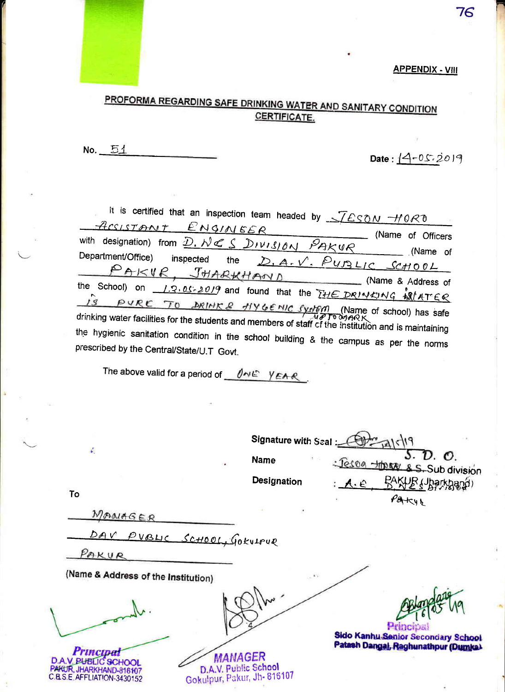## **APPENDIX - VIII**

76



No.  $51$ 

Date:  $14 - 05.2019$ 

It is certified that an inspection team headed by  $\sqrt{LSDM}$  -HORD ENGINEER ACCISTANT (Name of Officers with designation) from D. NCS DIVISION PAKUR (Name of Department/Office) D.A.V. PUBLIC SCHOOL inspected the PAKVR, JHARKHAND (Name & Address of the School) on 1.2.05-2019 and found that the THE DRINKING SPATER  $\sqrt{s}$  PURE TO DRIMES HYGENIC SydEM (Name of school) has safe<br>drinking water facilities for the students and members of staff of the institution and is maintaining the hygienic sanitation condition in the school building & the campus as per the norms prescribed by the Central/State/U.T Govt.

The above valid for a period of  $0 \leq k \leq \gamma \leq 1$ 

| $\frac{1}{2}$                                                                                                                                                                   | Signature with Seal :- |                                                 |
|---------------------------------------------------------------------------------------------------------------------------------------------------------------------------------|------------------------|-------------------------------------------------|
|                                                                                                                                                                                 | <b>Name</b>            | S. D. O.<br>: Jeson thear & S. Sub division     |
|                                                                                                                                                                                 | Designation            | RAKHE (Jharkband)<br>A.E                        |
| To                                                                                                                                                                              |                        | PAKYE                                           |
| MANAGER                                                                                                                                                                         |                        |                                                 |
| DAV<br>PVBLIC SCHOOL, GOKULPUR                                                                                                                                                  |                        |                                                 |
| PAKUR                                                                                                                                                                           |                        |                                                 |
| (Name & Address of the Institution)                                                                                                                                             | K/I                    |                                                 |
|                                                                                                                                                                                 |                        | Principal<br>Sido Kanhu Senior Secondary School |
| <b>Principa</b><br><b>MANAGER</b><br>D.A.V. PUBLIC SCHOOL<br>D.A.V. Public School<br>MICUR, JHARKHAND-816107<br>Gokulpur, Pakur, Jh- 816107<br><b>B.S.E. AFFLIATION-3430152</b> |                        | Patash Dangal, Raghunathpur (Dumka)             |